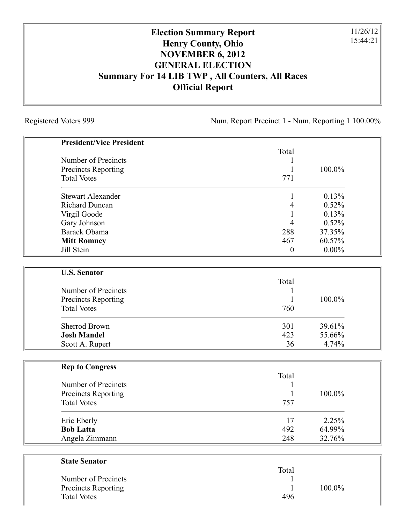Registered Voters 999 Num. Report Precinct 1 - Num. Reporting 1 100.00%

11/26/12 15:44:21

| <b>President/Vice President</b> |                  |          |
|---------------------------------|------------------|----------|
|                                 | Total            |          |
| Number of Precincts             | 1                |          |
| <b>Precincts Reporting</b>      | $\mathbf{1}$     | 100.0%   |
| <b>Total Votes</b>              | 771              |          |
| <b>Stewart Alexander</b>        | $\mathbf{1}$     | 0.13%    |
| <b>Richard Duncan</b>           | $\overline{4}$   | 0.52%    |
| Virgil Goode                    | $\mathbf{1}$     | 0.13%    |
| Gary Johnson                    | $\overline{4}$   | 0.52%    |
| Barack Obama                    | 288              | 37.35%   |
| <b>Mitt Romney</b>              | 467              | 60.57%   |
| Jill Stein                      | $\boldsymbol{0}$ | $0.00\%$ |
| <b>U.S. Senator</b>             |                  |          |
|                                 | Total            |          |
| Number of Precincts             | 1                |          |
| <b>Precincts Reporting</b>      | 1                | 100.0%   |
| <b>Total Votes</b>              | 760              |          |
| <b>Sherrod Brown</b>            | 301              | 39.61%   |
| <b>Josh Mandel</b>              | 423              | 55.66%   |
| Scott A. Rupert                 | 36               | 4.74%    |
| <b>Rep to Congress</b>          |                  |          |
|                                 | Total            |          |
| Number of Precincts             | $\mathbf{1}$     |          |
| <b>Precincts Reporting</b>      | $\mathbf{1}$     | 100.0%   |
| <b>Total Votes</b>              | 757              |          |
| Eric Eberly                     | 17               | 2.25%    |
| <b>Bob Latta</b>                | 492              | 64.99%   |
| Angela Zimmann                  | 248              | 32.76%   |
| <b>State Senator</b>            |                  |          |
|                                 | Total            |          |
|                                 |                  |          |

| Number of Precincts |     |           |
|---------------------|-----|-----------|
| Precincts Reporting |     | $100.0\%$ |
| <b>Total Votes</b>  | 496 |           |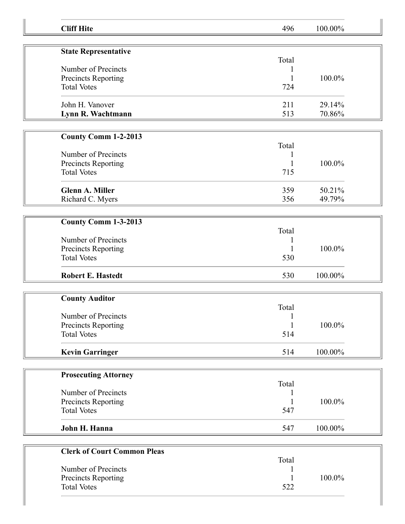| <b>Cliff Hite</b>                         | 496          | 100.00% |  |
|-------------------------------------------|--------------|---------|--|
|                                           |              |         |  |
| <b>State Representative</b>               | Total        |         |  |
| Number of Precincts                       |              |         |  |
| Precincts Reporting                       |              | 100.0%  |  |
| <b>Total Votes</b>                        | 724          |         |  |
| John H. Vanover                           | 211          | 29.14%  |  |
| Lynn R. Wachtmann                         | 513          | 70.86%  |  |
|                                           |              |         |  |
| <b>County Comm 1-2-2013</b>               | Total        |         |  |
| Number of Precincts                       | 1            |         |  |
| Precincts Reporting                       | 1            | 100.0%  |  |
| <b>Total Votes</b>                        | 715          |         |  |
| <b>Glenn A. Miller</b>                    | 359          | 50.21%  |  |
| Richard C. Myers                          | 356          | 49.79%  |  |
|                                           |              |         |  |
| County Comm 1-3-2013                      |              |         |  |
|                                           | Total        |         |  |
| Number of Precincts                       |              |         |  |
| Precincts Reporting                       |              | 100.0%  |  |
| <b>Total Votes</b>                        | 530          |         |  |
| <b>Robert E. Hastedt</b>                  | 530          | 100.00% |  |
|                                           |              |         |  |
| <b>County Auditor</b>                     |              |         |  |
|                                           | Total        |         |  |
| Number of Precincts                       | $\mathbf{1}$ |         |  |
| Precincts Reporting                       | 1            | 100.0%  |  |
| <b>Total Votes</b>                        | 514          |         |  |
| <b>Kevin Garringer</b>                    | 514          | 100.00% |  |
|                                           |              |         |  |
| <b>Prosecuting Attorney</b>               |              |         |  |
| Number of Precincts                       | Total        |         |  |
|                                           |              | 100.0%  |  |
| Precincts Reporting<br><b>Total Votes</b> | 547          |         |  |
|                                           |              |         |  |
| John H. Hanna                             | 547          | 100.00% |  |
|                                           |              |         |  |
| <b>Clerk of Court Common Pleas</b>        |              |         |  |
|                                           | Total        |         |  |
| Number of Precincts                       |              | 100.0%  |  |
| Precincts Reporting<br><b>Total Votes</b> | 522          |         |  |
|                                           |              |         |  |
|                                           |              |         |  |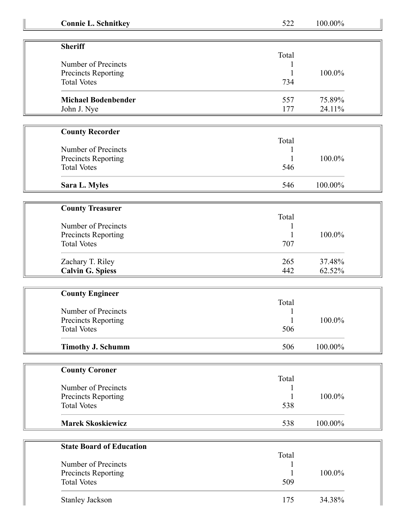| <b>Connie L. Schnitkey</b>      | 522          | 100.00% |  |
|---------------------------------|--------------|---------|--|
|                                 |              |         |  |
| <b>Sheriff</b>                  | Total        |         |  |
| Number of Precincts             |              |         |  |
| Precincts Reporting             |              | 100.0%  |  |
| <b>Total Votes</b>              | 734          |         |  |
| <b>Michael Bodenbender</b>      | 557          | 75.89%  |  |
| John J. Nye                     | 177          | 24.11%  |  |
|                                 |              |         |  |
| <b>County Recorder</b>          |              |         |  |
|                                 | Total        |         |  |
| Number of Precincts             |              |         |  |
| Precincts Reporting             |              | 100.0%  |  |
| <b>Total Votes</b>              | 546          |         |  |
| Sara L. Myles                   | 546          | 100.00% |  |
|                                 |              |         |  |
| <b>County Treasurer</b>         |              |         |  |
|                                 | Total        |         |  |
| Number of Precincts             |              |         |  |
| Precincts Reporting             |              | 100.0%  |  |
| <b>Total Votes</b>              | 707          |         |  |
| Zachary T. Riley                | 265          | 37.48%  |  |
| <b>Calvin G. Spiess</b>         | 442          | 62.52%  |  |
|                                 |              |         |  |
| <b>County Engineer</b>          |              |         |  |
|                                 | Total        |         |  |
| Number of Precincts             |              |         |  |
| Precincts Reporting             | $\mathbf{1}$ | 100.0%  |  |
| <b>Total Votes</b>              | 506          |         |  |
| <b>Timothy J. Schumm</b>        | 506          | 100.00% |  |
|                                 |              |         |  |
| <b>County Coroner</b>           |              |         |  |
|                                 | Total        |         |  |
| Number of Precincts             |              |         |  |
| Precincts Reporting             |              | 100.0%  |  |
| <b>Total Votes</b>              | 538          |         |  |
| <b>Marek Skoskiewicz</b>        | 538          | 100.00% |  |
|                                 |              |         |  |
| <b>State Board of Education</b> |              |         |  |
|                                 | Total        |         |  |
| Number of Precincts             |              |         |  |
| Precincts Reporting             |              | 100.0%  |  |
| <b>Total Votes</b>              | 509          |         |  |
|                                 |              |         |  |
| <b>Stanley Jackson</b>          | 175          | 34.38%  |  |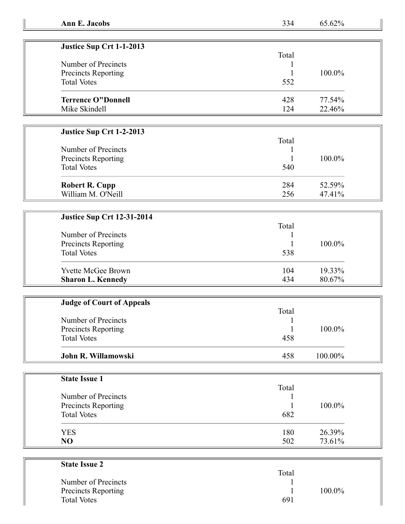| Justice Sup Crt 1-1-2013  |       |        |
|---------------------------|-------|--------|
|                           | Total |        |
| Number of Precincts       |       |        |
| Precincts Reporting       |       | 100.0% |
| <b>Total Votes</b>        | 552   |        |
| <b>Terrence O"Donnell</b> | 428   | 77.54% |
| Mike Skindell             | 124   | 22.46% |

## **Justice Sup Crt 1-2-2013**

| Number of Precincts<br>Precincts Reporting<br><b>Total Votes</b> | Total<br>540 | 100.0% |
|------------------------------------------------------------------|--------------|--------|
| <b>Robert R. Cupp</b>                                            | 284          | 52.59% |
| William M. O'Neill                                               | 256          | 47.41% |

## **Justice Sup Crt 12-31-2014**

|  | 19.33%<br><b>Yvette McGee Brown</b><br>104 | Number of Precincts<br><b>Precincts Reporting</b><br><b>Total Votes</b> | Total<br>538 | 100.0% |
|--|--------------------------------------------|-------------------------------------------------------------------------|--------------|--------|
|--|--------------------------------------------|-------------------------------------------------------------------------|--------------|--------|

| <b>Judge of Court of Appeals</b> |       |         |  |
|----------------------------------|-------|---------|--|
|                                  | Total |         |  |
| Number of Precincts              |       |         |  |
| Precincts Reporting              |       | 100.0%  |  |
| <b>Total Votes</b>               | 458   |         |  |
| John R. Willamowski              | 458   | 100.00% |  |

| <b>State Issue 1</b> |       |        |
|----------------------|-------|--------|
|                      | Total |        |
| Number of Precincts  |       |        |
| Precincts Reporting  |       | 100.0% |
| <b>Total Votes</b>   | 682   |        |
| <b>YES</b>           | 180   | 26.39% |
| NO                   | 502   | 73.61% |

| <b>State Issue 2</b>       |       |        |
|----------------------------|-------|--------|
|                            | Total |        |
| Number of Precincts        |       |        |
| <b>Precincts Reporting</b> |       | 100.0% |
| <b>Total Votes</b>         | 691   |        |